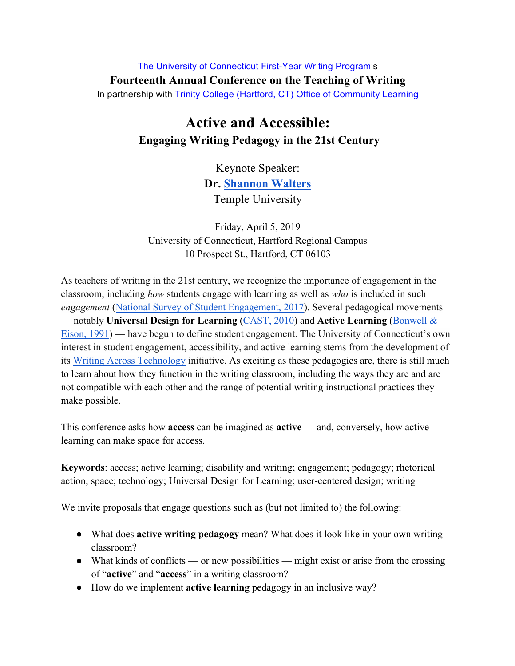The University of Connecticut First-Year Writing Program's **Fourteenth Annual Conference on the Teaching of Writing** In partnership with **Trinity College (Hartford, CT) Office of Community Learning** 

## **Active and Accessible: Engaging Writing Pedagogy in the 21st Century**

Keynote Speaker: **Dr. Shannon Walters** Temple University

Friday, April 5, 2019 University of Connecticut, Hartford Regional Campus 10 Prospect St., Hartford, CT 06103

As teachers of writing in the 21st century, we recognize the importance of engagement in the classroom, including *how* students engage with learning as well as *who* is included in such *engagement* (National Survey of Student Engagement, 2017). Several pedagogical movements — notably **Universal Design for Learning** (CAST, 2010) and **Active Learning** (Bonwell & Eison, 1991) — have begun to define student engagement. The University of Connecticut's own interest in student engagement, accessibility, and active learning stems from the development of its Writing Across Technology initiative. As exciting as these pedagogies are, there is still much to learn about how they function in the writing classroom, including the ways they are and are not compatible with each other and the range of potential writing instructional practices they make possible.

This conference asks how **access** can be imagined as **active** — and, conversely, how active learning can make space for access.

**Keywords**: access; active learning; disability and writing; engagement; pedagogy; rhetorical action; space; technology; Universal Design for Learning; user-centered design; writing

We invite proposals that engage questions such as (but not limited to) the following:

- What does **active writing pedagogy** mean? What does it look like in your own writing classroom?
- What kinds of conflicts or new possibilities might exist or arise from the crossing of "**active**" and "**access**" in a writing classroom?
- How do we implement **active learning** pedagogy in an inclusive way?